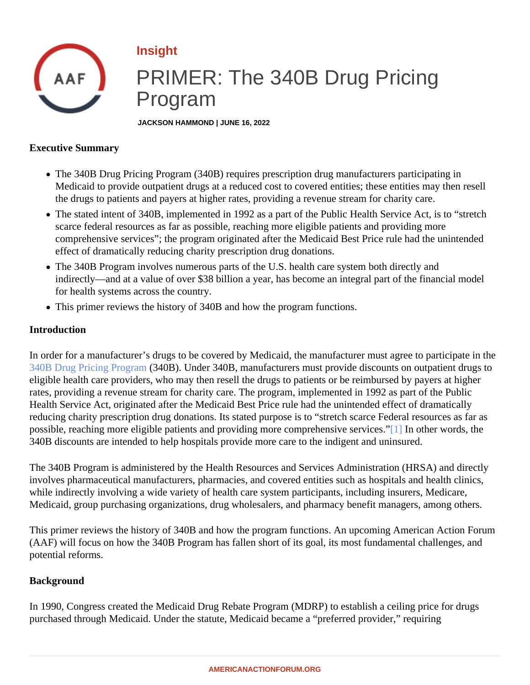# <span id="page-0-0"></span>Insight

# PRIMER: The 340B Drug Pricing Program

JACKSON HAMMOND | JUNE 16, 2022

Executive Summary

- The 340B Drug Pricing Program (340B) requires prescription drug manufacturers participating in Medicaid to provide outpatient drugs at a reduced cost to covered entities; these entities may then resel the drugs to patients and payers at higher rates, providing a revenue stream for charity care.
- The stated intent of 340B, implemented in 1992 as a part of the Public Health Service Act, is to "stretch scarce federal resources as far as possible, reaching more eligible patients and providing more comprehensive services"; the program originated after the Medicaid Best Price rule had the unintended effect of dramatically reducing charity prescription drug donations.
- The 340B Program involves numerous parts of the U.S. health care system both directly and indirectly—and at a value of over \$38 billion a year, has become an integral part of the financial model for health systems across the country.
- This primer reviews the history of 340B and how the program functions.

#### Introduction

In order for a manufacturer's drugs to be covered by Medicaid, the manufacturer must agree to participate in [340B Drug Pricing Progra](�� h t t p s : / / w w w . a m e r i c a n a c t i o n f o r u m . o r g / r e s e a r c h / p r i m e r - u n d e r s t a n d i n g - t h e - 3 4 0 b - d r u g - p r i c i n g - p r o g r a m /)m(340B). Under 340B, manufacturers must provide discounts on outpatient drugs to eligible health care providers, who may then resell the drugs to patients or be reimbursed by payers at higher rates, providing a revenue stream for charity care. The program, implemented in 1992 as part of the Public Health Service Act, originated after the Medicaid Best Price rule had the unintended effect of dramatically reducing charity prescription drug donations. Its stated purpose is to "stretch scarce Federal resources as far possible, reaching more eligible patients and providing more comprehensive senvitues ther words, the 340B discounts are intended to help hospitals provide more care to the indigent and uninsured.

The 340B Program is administered by the Health Resources and Services Administration (HRSA) and directly involves pharmaceutical manufacturers, pharmacies, and covered entities such as hospitals and health clinics while indirectly involving a wide variety of health care system participants, including insurers, Medicare, Medicaid, group purchasing organizations, drug wholesalers, and pharmacy benefit managers, among others.

This primer reviews the history of 340B and how the program functions. An upcoming American Action Forum (AAF) will focus on how the 340B Program has fallen short of its goal, its most fundamental challenges, and potential reforms.

#### **Background**

In 1990, Congress created the Medicaid Drug Rebate Program (MDRP) to establish a ceiling price for drugs purchased through Medicaid. Under the statute, Medicaid became a "preferred provider," requiring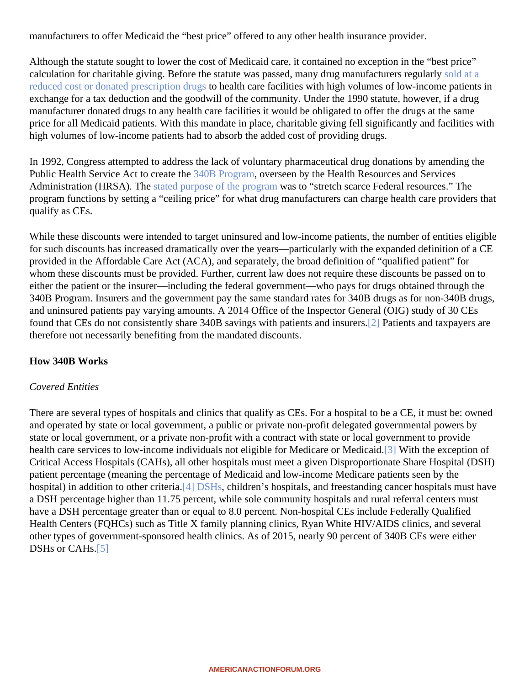<span id="page-1-0"></span>manufacturers to offer Medicaid the "best price" offered to any other health insurance provider.

Although the statute sought to lower the cost of Medicaid care, it contained no exception in the "best price" calculation for charitable giving. Before the statute was passed, many drug manufacturers [regularly](�� h t t p s : / / w w w . b i o . o r g / s i t e s / d e f a u l t / f i l e s / l e g a c y / b i o o r g / d o c s / 3 4 0 B   W h i t e   P a p e r   F I N A L . p d f) [reduced cost or donated prescription d](�� h t t p s : / / w w w . b i o . o r g / s i t e s / d e f a u l t / f i l e s / l e g a c y / b i o o r g / d o c s / 3 4 0 B   W h i t e   P a p e r   F I N A L . p d f)rto health care facilities with high volumes of low-income patients in exchange for a tax deduction and the goodwill of the community. Under the 1990 statute, however, if a drug manufacturer donated drugs to any health care facilities it would be obligated to offer the drugs at the same price for all Medicaid patients. With this mandate in place, charitable giving fell significantly and facilities with high volumes of low-income patients had to absorb the added cost of providing drugs.

In 1992, Congress attempted to address the lack of voluntary pharmaceutical drug donations by amending the Public Health Service Act to create the 3B Program overseen by the Health Resources and Services Administration(HRSA). The tated purpose of the prograwas to "stretch scarce Federal resources." The program functions by setting a "ceiling price" for what drug manufacturers can charge health care providers th qualify as CEs.

While these discounts were intended to target uninsured and low-income patients, the number of entities eligiousfor such discounts has increased dramatically over the years—particularly with the expanded definition of a C provided in the Affordable Care Act (ACA), and separately, the broad definition of "qualified patient" for whom these discounts must be provided. Further, current law does not require these discounts be passed on either the patient or the insurer—including the federal government—who pays for drugs obtained through the 340B Program. Insurers and the government pay the same standard rates for 340B drugs as for non-340B drugs, and uninsured patients pay varying amounts. A 2014 Office of the Inspector General (OIG) study of 30 CEs found that CEs do not consistently share 340B savings with patients and i[nsu](#page-4-0)rers and taxpayers are therefore not necessarily benefiting from the mandated discounts.

How 340B Works

# Covered Entities

There are several types of hospitals and clinics that qualify as CEs. For a hospital to be a CE, it must be: own and operated by state or local government, a public or private non-profit delegated governmental powers by state or local government, or a private non-profit with a contract with state or local government to provide health care services to low-income individuals not eligible for Me[dica](#page-4-0)re or Medicaldid the exception of Critical Access Hospitals (CAHs), all other hospitals must meet a given Disproportionate Share Hospital (DSH) patient percentage (meaning the percentage of Medicaid and low-income Medicare patients seen by the hospital) in addition to other criterial [DSHs](�� h t t p s : / / w w w . a m e r i c a n a c t i o n f o r u m . o r g / r e s e a r c h / p r i m e r - t h e - d i s p r o p o r t i o n a t e - s h a r e - h o s p i t a l - d s h - p r o g r a m /) children's hospitals, and freestanding cancer hospitals must have a DSH percentage higher than 11.75 percent, while sole community hospitals and rural referral centers must have a DSH percentage greater than or equal to 8.0 percent. Non-hospital CEs include Federally Qualified Health Centers (FQHCs) such as Title X family planning clinics, Ryan White HIV/AIDS clinics, and several other types of government-sponsored health clinics. As of 2015, nearly 90 percent of 340B CEs were either DSHs or CAHs<sup>[5]</sup>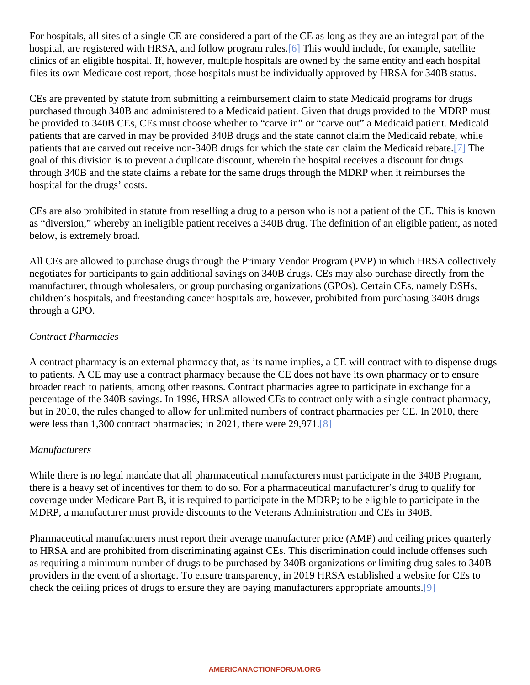<span id="page-2-0"></span>For hospitals, all sites of a single CE are considered a part of the CE as long as they are an integral part of the hospital, are registered with HRSA, and follow program [rule](#page-5-0)s. This would include, for example, satellite clinics of an eligible hospital. If, however, multiple hospitals are owned by the same entity and each hospital files its own Medicare cost report, those hospitals must be individually approved by HRSA for 340B status.

CEs are prevented by statute from submitting a reimbursement claim to state Medicaid programs for drugs purchased through 340B and administered to a Medicaid patient. Given that drugs provided to the MDRP mu be provided to 340B CEs, CEs must choose whether to "carve in" or "carve out" a Medicaid patient. Medicaid patients that are carved in may be provided 340B drugs and the state cannot claim the Medicaid rebate, while patients that are carved out receive non-340B drugs for which the state can claim the Medic[aid](#page-5-0) rebate. goal of this division is to prevent a duplicate discount, wherein the hospital receives a discount for drugs through 340B and the state claims a rebate for the same drugs through the MDRP when it reimburses the hospital for the drugs' costs.

CEs are also prohibited in statute from reselling a drug to a person who is not a patient of the CE. This is kno as "diversion," whereby an ineligible patient receives a 340B drug. The definition of an eligible patient, as note below, is extremely broad.

All CEs are allowed to purchase drugs through the Primary Vendor Program (PVP) in which HRSA collectivel negotiates for participants to gain additional savings on 340B drugs. CEs may also purchase directly from the manufacturer, through wholesalers, or group purchasing organizations (GPOs). Certain CEs, namely DSHs, children's hospitals, and freestanding cancer hospitals are, however, prohibited from purchasing 340B drugs through a GPO.

#### Contract Pharmacies

A contract pharmacy is an external pharmacy that, as its name implies, a CE will contract with to dispense drugs to patients. A CE may use a contract pharmacy because the CE does not have its own pharmacy or to ensure broader reach to patients, among other reasons. Contract pharmacies agree to participate in exchange for a percentage of the 340B savings. In 1996, HRSA allowed CEs to contract only with a single contract pharmacy but in 2010, the rules changed to allow for unlimited numbers of contract pharmacies per CE. In 2010, there were less than 1,300 contract pharmacies; in 2021, there were  $29,971$  $29,971$ .

#### **Manufacturers**

While there is no legal mandate that all pharmaceutical manufacturers must participate in the 340B Program, there is a heavy set of incentives for them to do so. For a pharmaceutical manufacturer's drug to qualify for coverage under Medicare Part B, it is required to participate in the MDRP; to be eligible to participate in the MDRP, a manufacturer must provide discounts to the Veterans Administration and CEs in 340B.

Pharmaceutical manufacturers must report their average manufacturer price (AMP) and ceiling prices quarter to HRSA and are prohibited from discriminating against CEs. This discrimination could include offenses such as requiring a minimum number of drugs to be purchased by 340B organizations or limiting drug sales to 340 providers in the event of a shortage. To ensure transparency, in 2019 HRSA established a website for CEs to check the ceiling prices of drugs to ensure they are paying manufacturers appropriate [am](#page-5-0)ounts.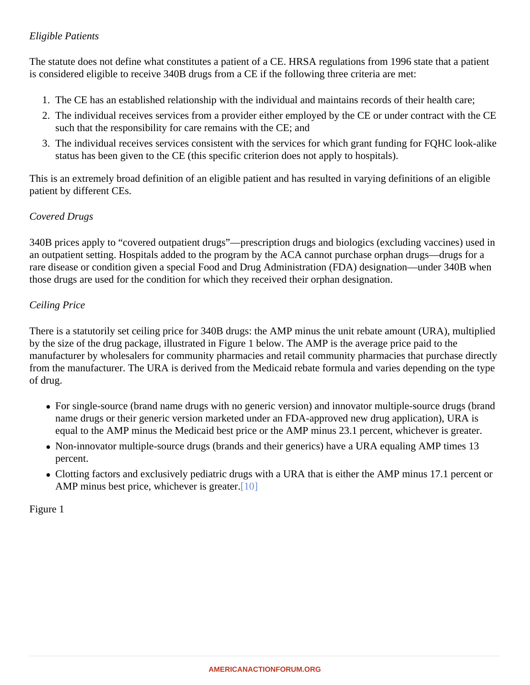#### <span id="page-3-0"></span>Eligible Patients

The statute does not define what constitutes a patient of a CE. HRSA regulations from 1996 state that a patient is considered eligible to receive 340B drugs from a CE if the following three criteria are met:

- 1. The CE has an established relationship with the individual and maintains records of their health care;
- 2. The individual receives services from a provider either employed by the CE or under contract with the C such that the responsibility for care remains with the CE; and
- 3. The individual receives services consistent with the services for which grant funding for FQHC look-alike status has been given to the CE (this specific criterion does not apply to hospitals).

This is an extremely broad definition of an eligible patient and has resulted in varying definitions of an eligible patient by different CEs.

#### Covered Drugs

340B prices apply to "covered outpatient drugs"—prescription drugs and biologics (excluding vaccines) used in an outpatient setting. Hospitals added to the program by the ACA cannot purchase orphan drugs—drugs for a rare disease or condition given a special Food and Drug Administration (FDA) designation—under 340B when those drugs are used for the condition for which they received their orphan designation.

#### Ceiling Price

There is a statutorily set ceiling price for 340B drugs: the AMP minus the unit rebate amount (URA), multiplied by the size of the drug package, illustrated in Figure 1 below. The AMP is the average price paid to the manufacturer by wholesalers for community pharmacies and retail community pharmacies that purchase dire from the manufacturer. The URA is derived from the Medicaid rebate formula and varies depending on the typular of drug.

- For single-source (brand name drugs with no generic version) and innovator multiple-source drugs (brand name drugs or their generic version marketed under an FDA-approved new drug application), URA is equal to the AMP minus the Medicaid best price or the AMP minus 23.1 percent, whichever is greater.
- Non-innovator multiple-source drugs (brands and their generics) have a URA equaling AMP times 13 percent.
- Clotting factors and exclusively pediatric drugs with a URA that is either the AMP minus 17.1 percent or AMP minus best price, whichever is gre[ater.](#page-5-0)

Figure 1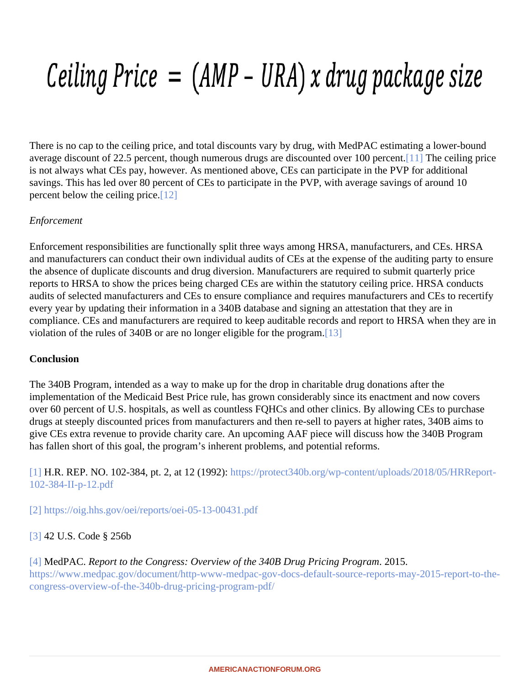<span id="page-4-0"></span>There is no cap to the ceiling price, and total discounts vary by drug, with MedPAC estimating a lower-bound average discount of 22.5 percent, though numerous drugs are discounted over 10[0 pe](#page-5-0)r best ceiling price is not always what CEs pay, however. As mentioned above, CEs can participate in the PVP for additional savings. This has led over 80 percent of CEs to participate in the PVP, with average savings of around 10 percent below the ceiling price $2$ ]

# **Enforcement**

Enforcement responsibilities are functionally split three ways among HRSA, manufacturers, and CEs. HRSA and manufacturers can conduct their own individual audits of CEs at the expense of the auditing party to ensure the absence of duplicate discounts and drug diversion. Manufacturers are required to submit quarterly price reports to HRSA to show the prices being charged CEs are within the statutory ceiling price. HRSA conducts audits of selected manufacturers and CEs to ensure compliance and requires manufacturers and CEs to rece every year by updating their information in a 340B database and signing an attestation that they are in compliance. CEs and manufacturers are required to keep auditable records and report to HRSA when they are violation of the rules of 340B or are no longer eligible for the pro[gram](#page-5-0).

#### **Conclusion**

The 340B Program, intended as a way to make up for the drop in charitable drug donations after the implementation of the Medicaid Best Price rule, has grown considerably since its enactment and now covers over 60 percent of U.S. hospitals, as well as countless FQHCs and other clinics. By allowing CEs to purchase drugs at steeply discounted prices from manufacturers and then re-sell to payers at higher rates, 340B aims t give CEs extra revenue to provide charity care. An upcoming AAF piece will discuss how the 340B Program has fallen short of this goal, the program's inherent problems, and potential reforms.

[\[1\]](#page-0-0) H.R. REP. NO. 102-384, pt. 2, at 12 (1992)ps://protect340b.org/wp-content/uploads/2018/05/HRReport-[102-384-II-p-12.pd](�� h t t p s : / / p r o t e c t 3 4 0 b . o r g / w p - c o n t e n t / u p l o a d s / 2 0 1 8 / 0 5 / H R R e p o r t - 1 0 2 - 3 8 4 - I I - p - 1 2 . p d f)f

[\[2\]](#page-1-0) [https://oig.hhs.gov/oei/reports/oei-05-13-00431](�� h t t p s : / / o i g . h h s . g o v / o e i / r e p o r t s / o e i - 0 5 - 1 3 - 0 0 4 3 1 . p d f).pdf

# [\[3\]](#page-1-0) 42 U.S. Code § 256b

#### [\[4\]](#page-1-0) MedPAC. Report to the Congress: Overview of the 340B Drug Pricing Programs.

[https://www.medpac.gov/document/http-www-medpac-gov-docs-default-source-reports-may-2015-repo](�� h t t p s : / / w w w . m e d p a c . g o v / d o c u m e n t / h t t p - w w w - m e d p a c - g o v - d o c s - d e f a u l t - s o u r c e - r e p o r t s - m a y - 2 0 1 5 - r e p o r t - t o - t h e - c o n g r e s s - o v e r v i e w - o f - t h e - 3 4 0 b - d r u g - p r i c i n g - p r o g r a m - p d f /)rt-to-th [congress-overview-of-the-340b-drug-pricing-program-](�� h t t p s : / / w w w . m e d p a c . g o v / d o c u m e n t / h t t p - w w w - m e d p a c - g o v - d o c s - d e f a u l t - s o u r c e - r e p o r t s - m a y - 2 0 1 5 - r e p o r t - t o - t h e - c o n g r e s s - o v e r v i e w - o f - t h e - 3 4 0 b - d r u g - p r i c i n g - p r o g r a m - p d f /)pdf/